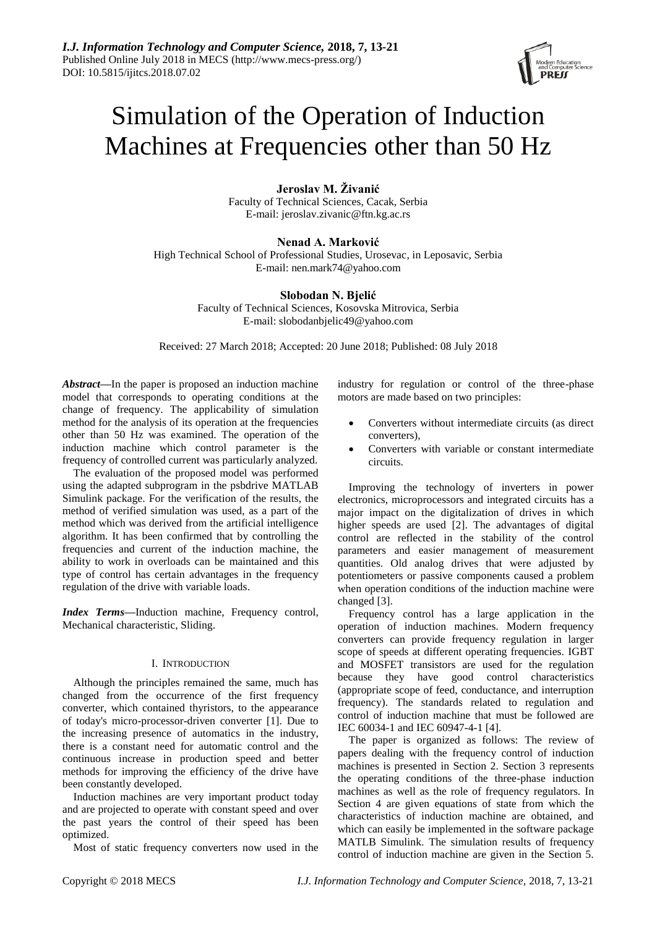

# Simulation of the Operation of Induction Machines at Frequencies other than 50 Hz

**Jeroslav M. Živanić**

Faculty of Technical Sciences, Cacak, Serbia E-mail: jeroslav.zivanic@ftn.kg.ac.rs

# **Nenad A. Marković**

High Technical School of Professional Studies, Urosevac, in Leposavic, Serbia E-mail: nen.mark74@yahoo.com

# **Slobodan N. Bjelić**

Faculty of Technical Sciences, Kosovska Mitrovica, Serbia E-mail: slobodanbjelic49@yahoo.com

Received: 27 March 2018; Accepted: 20 June 2018; Published: 08 July 2018

*Abstract***—**In the paper is proposed an induction machine model that corresponds to operating conditions at the change of frequency. The applicability of simulation method for the analysis of its operation at the frequencies other than 50 Hz was examined. The operation of the induction machine which control parameter is the frequency of controlled current was particularly analyzed.

The evaluation of the proposed model was performed using the adapted subprogram in the psbdrive MATLAB Simulink package. For the verification of the results, the method of verified simulation was used, as a part of the method which was derived from the artificial intelligence algorithm. It has been confirmed that by controlling the frequencies and current of the induction machine, the ability to work in overloads can be maintained and this type of control has certain advantages in the frequency regulation of the drive with variable loads.

*Index Terms***—**Induction machine, Frequency control, Mechanical characteristic, Sliding.

## I. INTRODUCTION

Although the principles remained the same, much has changed from the occurrence of the first frequency converter, which contained thyristors, to the appearance of today's micro-processor-driven converter [1]. Due to the increasing presence of automatics in the industry, there is a constant need for automatic control and the continuous increase in production speed and better methods for improving the efficiency of the drive have been constantly developed.

Induction machines are very important product today and are projected to operate with constant speed and over the past years the control of their speed has been optimized.

Most of static frequency converters now used in the

industry for regulation or control of the three-phase motors are made based on two principles:

- Converters without intermediate circuits (as direct converters),
- Converters with variable or constant intermediate circuits.

Improving the technology of inverters in power electronics, microprocessors and integrated circuits has a major impact on the digitalization of drives in which higher speeds are used [2]. The advantages of digital control are reflected in the stability of the control parameters and easier management of measurement quantities. Old analog drives that were adjusted by potentiometers or passive components caused a problem when operation conditions of the induction machine were changed [3].

Frequency control has a large application in the operation of induction machines. Modern frequency converters can provide frequency regulation in larger scope of speeds at different operating frequencies. IGBT and MOSFET transistors are used for the regulation because they have good control characteristics (appropriate scope of feed, conductance, and interruption frequency). The standards related to regulation and control of induction machine that must be followed are IEC 60034-1 and IEC 60947-4-1 [4].

The paper is organized as follows: The review of papers dealing with the frequency control of induction machines is presented in Section 2. Section 3 represents the operating conditions of the three-phase induction machines as well as the role of frequency regulators. In Section 4 are given equations of state from which the characteristics of induction machine are obtained, and which can easily be implemented in the software package MATLB Simulink. The simulation results of frequency control of induction machine are given in the Section 5.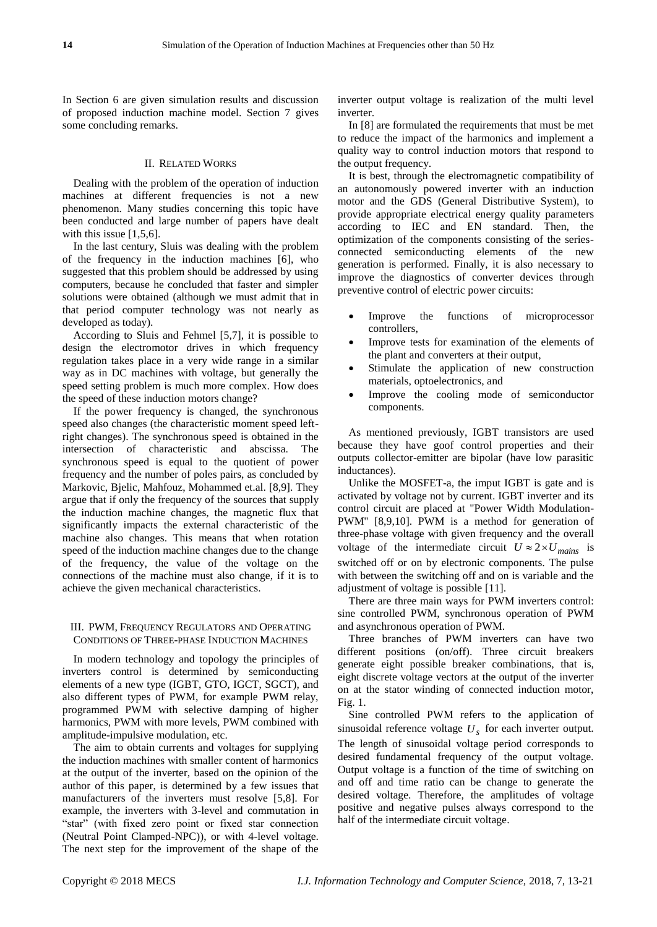In Section 6 are given simulation results and discussion of proposed induction machine model. Section 7 gives some concluding remarks.

#### II. RELATED WORKS

Dealing with the problem of the operation of induction machines at different frequencies is not a new phenomenon. Many studies concerning this topic have been conducted and large number of papers have dealt with this issue [1,5,6].

In the last century, Sluis was dealing with the problem of the frequency in the induction machines [6], who suggested that this problem should be addressed by using computers, because he concluded that faster and simpler solutions were obtained (although we must admit that in that period computer technology was not nearly as developed as today).

According to Sluis and Fehmel [5,7], it is possible to design the electromotor drives in which frequency regulation takes place in a very wide range in a similar way as in DC machines with voltage, but generally the speed setting problem is much more complex. How does the speed of these induction motors change?

If the power frequency is changed, the synchronous speed also changes (the characteristic moment speed leftright changes). The synchronous speed is obtained in the intersection of characteristic and abscissa. The synchronous speed is equal to the quotient of power frequency and the number of poles pairs, as concluded by Markovic, Bjelic, Mahfouz, Mohammed et.al. [8,9]. They argue that if only the frequency of the sources that supply the induction machine changes, the magnetic flux that significantly impacts the external characteristic of the machine also changes. This means that when rotation speed of the induction machine changes due to the change of the frequency, the value of the voltage on the connections of the machine must also change, if it is to achieve the given mechanical characteristics.

#### III. PWM, FREQUENCY REGULATORS AND OPERATING CONDITIONS OF THREE-PHASE INDUCTION MACHINES

In modern technology and topology the principles of inverters control is determined by semiconducting elements of a new type (IGBT, GTO, IGCT, SGCT), and also different types of PWM, for example PWM relay, programmed PWM with selective damping of higher harmonics, PWM with more levels, PWM combined with amplitude-impulsive modulation, etc.

The aim to obtain currents and voltages for supplying the induction machines with smaller content of harmonics at the output of the inverter, based on the opinion of the author of this paper, is determined by a few issues that manufacturers of the inverters must resolve [5,8]. For example, the inverters with 3-level and commutation in "star" (with fixed zero point or fixed star connection (Neutral Point Clamped-NPC)), or with 4-level voltage. The next step for the improvement of the shape of the

inverter output voltage is realization of the multi level inverter.

In [8] are formulated the requirements that must be met to reduce the impact of the harmonics and implement a quality way to control induction motors that respond to the output frequency.

It is best, through the electromagnetic compatibility of an autonomously powered inverter with an induction motor and the GDS (General Distributive System), to provide appropriate electrical energy quality parameters according to IEC and EN standard. Then, the optimization of the components consisting of the seriesconnected semiconducting elements of the new generation is performed. Finally, it is also necessary to improve the diagnostics of converter devices through preventive control of electric power circuits:

- Improve the functions of microprocessor controllers,
- Improve tests for examination of the elements of the plant and converters at their output,
- Stimulate the application of new construction materials, optoelectronics, and
- Improve the cooling mode of semiconductor components.

As mentioned previously, IGBT transistors are used because they have goof control properties and their outputs collector-emitter are bipolar (have low parasitic inductances).

Unlike the MOSFET-a, the imput IGBT is gate and is activated by voltage not by current. IGBT inverter and its control circuit are placed at "Power Width Modulation-PWM" [8,9,10]. PWM is a method for generation of three-phase voltage with given frequency and the overall voltage of the intermediate circuit  $U \approx 2 \times U_{max}$  is switched off or on by electronic components. The pulse with between the switching off and on is variable and the adjustment of voltage is possible [11].

There are three main ways for PWM inverters control: sine controlled PWM, synchronous operation of PWM and asynchronous operation of PWM.

Three branches of PWM inverters can have two different positions (on/off). Three circuit breakers generate eight possible breaker combinations, that is, eight discrete voltage vectors at the output of the inverter on at the stator winding of connected induction motor, Fig. 1.

Sine controlled PWM refers to the application of sinusoidal reference voltage *Us* for each inverter output. The length of sinusoidal voltage period corresponds to desired fundamental frequency of the output voltage. Output voltage is a function of the time of switching on and off and time ratio can be change to generate the desired voltage. Therefore, the amplitudes of voltage positive and negative pulses always correspond to the half of the intermediate circuit voltage.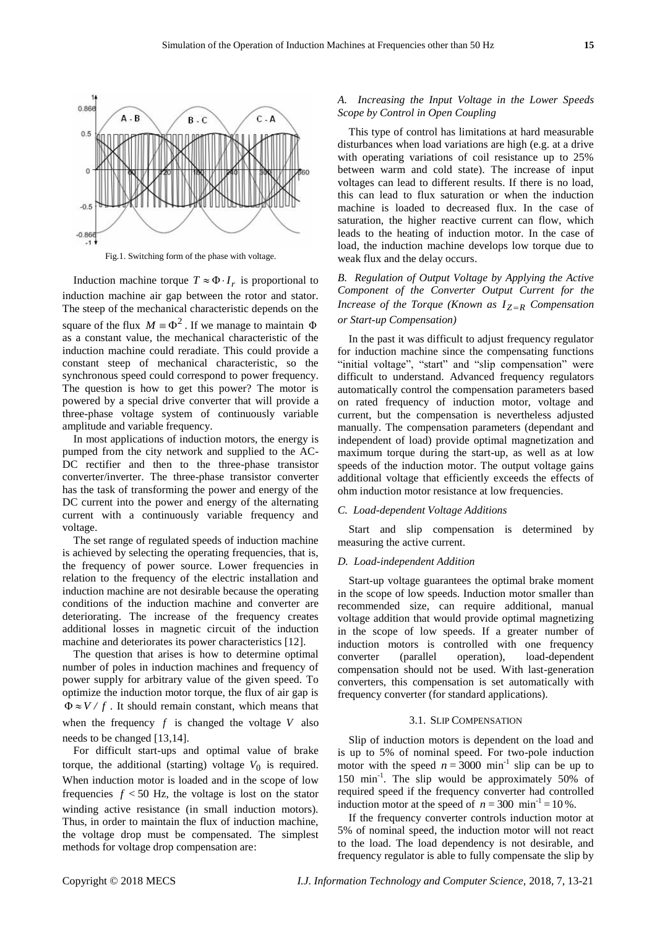

Fig.1. Switching form of the phase with voltage.

Induction machine torque  $T \approx \Phi \cdot I_r$  is proportional to induction machine air gap between the rotor and stator. The steep of the mechanical characteristic depends on the square of the flux  $M = \Phi^2$ . If we manage to maintain  $\Phi$ as a constant value, the mechanical characteristic of the induction machine could reradiate. This could provide a constant steep of mechanical characteristic, so the synchronous speed could correspond to power frequency. The question is how to get this power? The motor is powered by a special drive converter that will provide a three-phase voltage system of continuously variable amplitude and variable frequency.

In most applications of induction motors, the energy is pumped from the city network and supplied to the AC-DC rectifier and then to the three-phase transistor converter/inverter. The three-phase transistor converter has the task of transforming the power and energy of the DC current into the power and energy of the alternating current with a continuously variable frequency and voltage.

The set range of regulated speeds of induction machine is achieved by selecting the operating frequencies, that is, the frequency of power source. Lower frequencies in relation to the frequency of the electric installation and induction machine are not desirable because the operating conditions of the induction machine and converter are deteriorating. The increase of the frequency creates additional losses in magnetic circuit of the induction machine and deteriorates its power characteristics [12].

The question that arises is how to determine optimal number of poles in induction machines and frequency of power supply for arbitrary value of the given speed. To optimize the induction motor torque, the flux of air gap is  $\Phi \approx V/f$ . It should remain constant, which means that when the frequency  $f$  is changed the voltage  $V$  also needs to be changed [13,14].

For difficult start-ups and optimal value of brake torque, the additional (starting) voltage  $V_0$  is required. When induction motor is loaded and in the scope of low frequencies  $f < 50$  Hz, the voltage is lost on the stator winding active resistance (in small induction motors). Thus, in order to maintain the flux of induction machine, the voltage drop must be compensated. The simplest methods for voltage drop compensation are:

# *A. Increasing the Input Voltage in the Lower Speeds Scope by Control in Open Coupling*

This type of control has limitations at hard measurable disturbances when load variations are high (e.g. at a drive with operating variations of coil resistance up to 25% between warm and cold state). The increase of input voltages can lead to different results. If there is no load, this can lead to flux saturation or when the induction machine is loaded to decreased flux. In the case of saturation, the higher reactive current can flow, which leads to the heating of induction motor. In the case of load, the induction machine develops low torque due to weak flux and the delay occurs.

*B. Regulation of Output Voltage by Applying the Active Component of the Converter Output Current for the Increase of the Torque (Known as*  $I_{Z=R}$  *Compensation or Start-up Compensation)*

In the past it was difficult to adjust frequency regulator for induction machine since the compensating functions "initial voltage", "start" and "slip compensation" were difficult to understand. Advanced frequency regulators automatically control the compensation parameters based on rated frequency of induction motor, voltage and current, but the compensation is nevertheless adjusted manually. The compensation parameters (dependant and independent of load) provide optimal magnetization and maximum torque during the start-up, as well as at low speeds of the induction motor. The output voltage gains additional voltage that efficiently exceeds the effects of ohm induction motor resistance at low frequencies.

## *C. Load-dependent Voltage Additions*

Start and slip compensation is determined by measuring the active current.

## *D. Load-independent Addition*

Start-up voltage guarantees the optimal brake moment in the scope of low speeds. Induction motor smaller than recommended size, can require additional, manual voltage addition that would provide optimal magnetizing in the scope of low speeds. If a greater number of induction motors is controlled with one frequency converter (parallel operation), load-dependent compensation should not be used. With last-generation converters, this compensation is set automatically with frequency converter (for standard applications).

#### 3.1. SLIP COMPENSATION

Slip of induction motors is dependent on the load and is up to 5% of nominal speed. For two-pole induction motor with the speed  $n = 3000$  min<sup>-1</sup> slip can be up to 150 min-1 . The slip would be approximately 50% of required speed if the frequency converter had controlled induction motor at the speed of  $n = 300$  min<sup>-1</sup> = 10%.

If the frequency converter controls induction motor at 5% of nominal speed, the induction motor will not react to the load. The load dependency is not desirable, and frequency regulator is able to fully compensate the slip by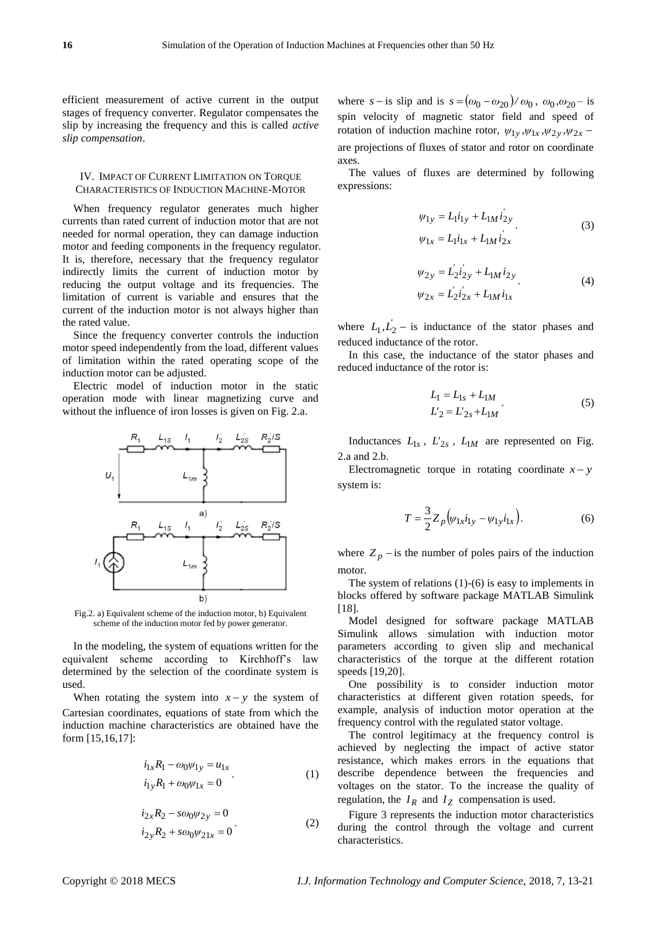efficient measurement of active current in the output stages of frequency converter. Regulator compensates the slip by increasing the frequency and this is called *active slip compensation*.

#### IV. IMPACT OF CURRENT LIMITATION ON TORQUE CHARACTERISTICS OF INDUCTION MACHINE-MOTOR

When frequency regulator generates much higher currents than rated current of induction motor that are not needed for normal operation, they can damage induction motor and feeding components in the frequency regulator. It is, therefore, necessary that the frequency regulator indirectly limits the current of induction motor by reducing the output voltage and its frequencies. The limitation of current is variable and ensures that the current of the induction motor is not always higher than the rated value.

Since the frequency converter controls the induction motor speed independently from the load, different values of limitation within the rated operating scope of the induction motor can be adjusted.

Electric model of induction motor in the static operation mode with linear magnetizing curve and without the influence of iron losses is given on Fig. 2.a.



Fig.2. a) Equivalent scheme of the induction motor, b) Equivalent scheme of the induction motor fed by power generator.

In the modeling, the system of equations written for the equivalent scheme according to Kirchhoff's law determined by the selection of the coordinate system is used.

When rotating the system into  $x - y$  the system of Cartesian coordinates, equations of state from which the induction machine characteristics are obtained have the form [15,16,17]:

$$
i_{1x}R_1 - \omega_0 \psi_{1y} = u_{1x}
$$
  
\n
$$
i_{1y}R_1 + \omega_0 \psi_{1x} = 0
$$
 (1)

$$
i_{2x}R_2 - s\omega_0 \psi_{2y} = 0
$$
  
\n
$$
i_{2y}R_2 + s\omega_0 \psi_{21x} = 0
$$
 (2)

where  $s -$  is slip and is  $s = (\omega_0 - \omega_{20})/\omega_0$ ,  $\omega_0, \omega_{20} -$  is spin velocity of magnetic stator field and speed of rotation of induction machine rotor,  $\psi_{1y}$ ,  $\psi_{1x}$ ,  $\psi_{2y}$ ,  $\psi_{2x}$  – are projections of fluxes of stator and rotor on coordinate axes.

The values of fluxes are determined by following expressions:

$$
\psi_{1y} = L_1 i_{1y} + L_{1M} i_{2y}
$$
  
\n
$$
\psi_{1x} = L_1 i_{1x} + L_{1M} i_{2x}
$$
\n(3)

$$
\psi_{2y} = L_2 i_{2y} + L_{1M} i_{2y}
$$
  
\n
$$
\psi_{2x} = L_2 i_{2x} + L_{1M} i_{1x}
$$
 (4)

where  $L_1, L_2$  – is inductance of the stator phases and reduced inductance of the rotor.

In this case, the inductance of the stator phases and reduced inductance of the rotor is:

$$
L_1 = L_{1s} + L_{1M}
$$
  
\n
$$
L'_2 = L'_{2s} + L_{1M}
$$
 (5)

Inductances  $L_{1s}$ ,  $L'_{2s}$ ,  $L_{1M}$  are represented on Fig. 2.a and 2.b.

Electromagnetic torque in rotating coordinate  $x - y$ system is:

$$
T = \frac{3}{2} Z_p \left( \psi_{1x} i_{1y} - \psi_{1y} i_{1x} \right).
$$
 (6)

where  $Z_p$  – is the number of poles pairs of the induction motor.

The system of relations (1)-(6) is easy to implements in blocks offered by software package MATLAB Simulink [18].

Model designed for software package MATLAB Simulink allows simulation with induction motor parameters according to given slip and mechanical characteristics of the torque at the different rotation speeds [19,20].

One possibility is to consider induction motor characteristics at different given rotation speeds, for example, analysis of induction motor operation at the frequency control with the regulated stator voltage.

The control legitimacy at the frequency control is achieved by neglecting the impact of active stator resistance, which makes errors in the equations that describe dependence between the frequencies and voltages on the stator. To the increase the quality of regulation, the  $I_R$  and  $I_Z$  compensation is used.

Figure 3 represents the induction motor characteristics during the control through the voltage and current characteristics.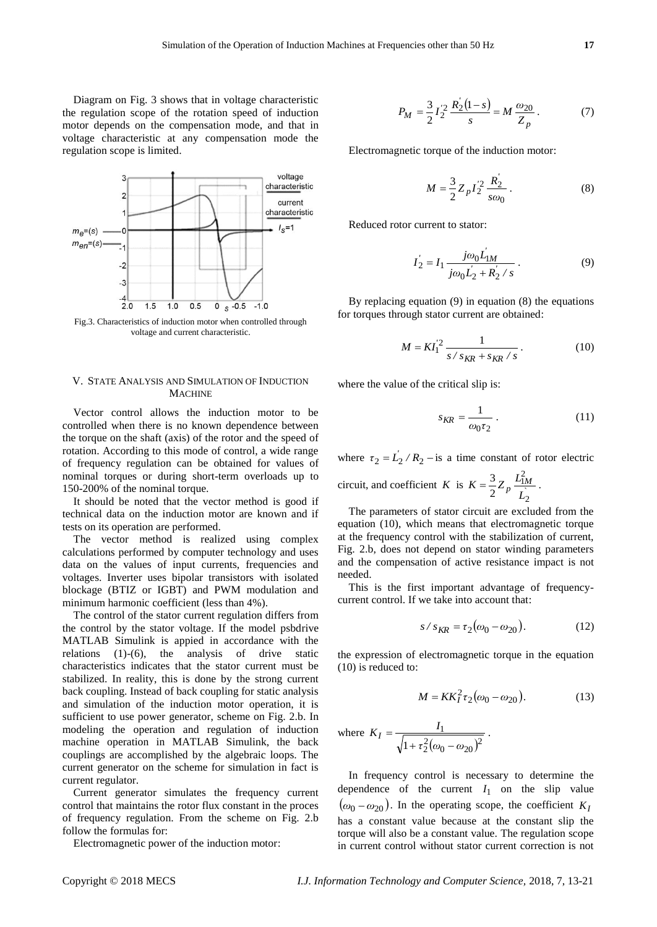Diagram on Fig. 3 shows that in voltage characteristic the regulation scope of the rotation speed of induction motor depends on the compensation mode, and that in voltage characteristic at any compensation mode the regulation scope is limited.



Fig.3. Characteristics of induction motor when controlled through voltage and current characteristic.

## V. STATE ANALYSIS AND SIMULATION OF INDUCTION **MACHINE**

Vector control allows the induction motor to be controlled when there is no known dependence between the torque on the shaft (axis) of the rotor and the speed of rotation. According to this mode of control, a wide range of frequency regulation can be obtained for values of nominal torques or during short-term overloads up to 150-200% of the nominal torque.

It should be noted that the vector method is good if technical data on the induction motor are known and if tests on its operation are performed.

The vector method is realized using complex calculations performed by computer technology and uses data on the values of input currents, frequencies and voltages. Inverter uses bipolar transistors with isolated blockage (BTIZ or IGBT) and PWM modulation and minimum harmonic coefficient (less than 4%).

The control of the stator current regulation differs from the control by the stator voltage. If the model psbdrive MATLAB Simulink is appied in accordance with the relations (1)-(6), the analysis of drive static characteristics indicates that the stator current must be stabilized. In reality, this is done by the strong current back coupling. Instead of back coupling for static analysis and simulation of the induction motor operation, it is sufficient to use power generator, scheme on Fig. 2.b. In modeling the operation and regulation of induction machine operation in MATLAB Simulink, the back couplings are accomplished by the algebraic loops. The current generator on the scheme for simulation in fact is current regulator.

Current generator simulates the frequency current control that maintains the rotor flux constant in the proces of frequency regulation. From the scheme on Fig. 2.b follow the formulas for:

Electromagnetic power of the induction motor:

$$
P_M = \frac{3}{2} I_2^{'2} \frac{R_2(1-s)}{s} = M \frac{\omega_{20}}{Z_p}.
$$
 (7)

Electromagnetic torque of the induction motor:

$$
M = \frac{3}{2} Z_p I_2^2 \frac{R_2}{s \omega_0} .
$$
 (8)

Reduced rotor current to stator:

$$
I_2' = I_1 \frac{j\omega_0 L_{1M}}{j\omega_0 L_2' + R_2' / s}.
$$
 (9)

By replacing equation (9) in equation (8) the equations for torques through stator current are obtained:

$$
M = K I_1^{'2} \frac{1}{s / s_{KR} + s_{KR} / s}.
$$
 (10)

where the value of the critical slip is:

$$
s_{KR} = \frac{1}{\omega_0 \tau_2} \,. \tag{11}
$$

where  $\tau_2 = L_2 / R_2 - i s$  a time constant of rotor electric

circuit, and coefficient *K* is  $K = \frac{3}{2} Z_p \frac{L_p}{I}$  $p \frac{L_{1M}}{L_2}$  $K = \frac{3}{2} Z_p \frac{L}{L}$ 2  $\frac{2}{1}$ 2  $=\frac{3}{2}Z_{p}\frac{L_{1M}^{2}}{2}$ .

The parameters of stator circuit are excluded from the equation (10), which means that electromagnetic torque at the frequency control with the stabilization of current, Fig. 2.b, does not depend on stator winding parameters and the compensation of active resistance impact is not needed.

This is the first important advantage of frequencycurrent control. If we take into account that:

$$
s/s_{KR} = \tau_2(\omega_0 - \omega_{20}).\tag{12}
$$

the expression of electromagnetic torque in the equation (10) is reduced to:

$$
M = KK_I^2 \tau_2 (\omega_0 - \omega_{20}). \tag{13}
$$

where 
$$
K_I = \frac{I_1}{\sqrt{1 + \tau_2^2 (\omega_0 - \omega_{20})^2}}
$$
.

In frequency control is necessary to determine the dependence of the current  $I_1$  on the slip value  $(\omega_0 - \omega_{20})$ . In the operating scope, the coefficient  $K_I$ has a constant value because at the constant slip the torque will also be a constant value. The regulation scope in current control without stator current correction is not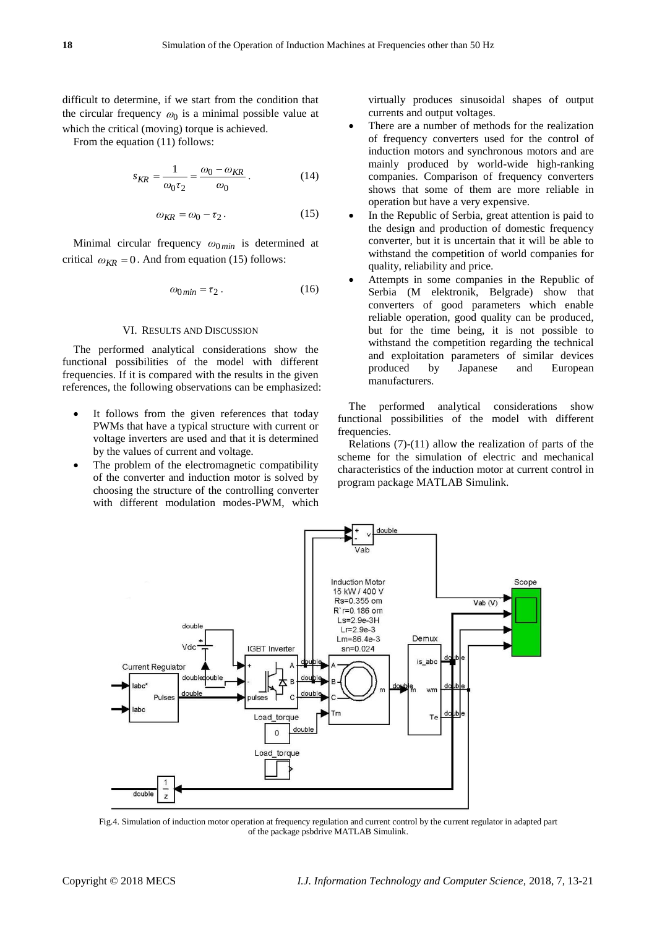difficult to determine, if we start from the condition that the circular frequency  $\omega_0$  is a minimal possible value at which the critical (moving) torque is achieved.

From the equation (11) follows:

$$
s_{KR} = \frac{1}{\omega_0 \tau_2} = \frac{\omega_0 - \omega_{KR}}{\omega_0}.
$$
 (14)

$$
\omega_{KR} = \omega_0 - \tau_2. \tag{15}
$$

Minimal circular frequency  $\omega_{0,min}$  is determined at critical  $\omega_{KR} = 0$ . And from equation (15) follows:

$$
\omega_{0\min} = \tau_2 \,. \tag{16}
$$

#### VI. RESULTS AND DISCUSSION

The performed analytical considerations show the functional possibilities of the model with different frequencies. If it is compared with the results in the given references, the following observations can be emphasized:

- It follows from the given references that today PWMs that have a typical structure with current or voltage inverters are used and that it is determined by the values of current and voltage.
- The problem of the electromagnetic compatibility of the converter and induction motor is solved by choosing the structure of the controlling converter with different modulation modes-PWM, which

virtually produces sinusoidal shapes of output currents and output voltages.

- There are a number of methods for the realization of frequency converters used for the control of induction motors and synchronous motors and are mainly produced by world-wide high-ranking companies. Comparison of frequency converters shows that some of them are more reliable in operation but have a very expensive.
- In the Republic of Serbia, great attention is paid to the design and production of domestic frequency converter, but it is uncertain that it will be able to withstand the competition of world companies for quality, reliability and price.
- Attempts in some companies in the Republic of Serbia (M elektronik, Belgrade) show that converters of good parameters which enable reliable operation, good quality can be produced, but for the time being, it is not possible to withstand the competition regarding the technical and exploitation parameters of similar devices produced by Japanese and European manufacturers.

The performed analytical considerations show functional possibilities of the model with different frequencies.

Relations  $(7)-(11)$  allow the realization of parts of the scheme for the simulation of electric and mechanical characteristics of the induction motor at current control in program package MATLAB Simulink.



Fig.4. Simulation of induction motor operation at frequency regulation and current control by the current regulator in adapted part of the package psbdrive MATLAB Simulink.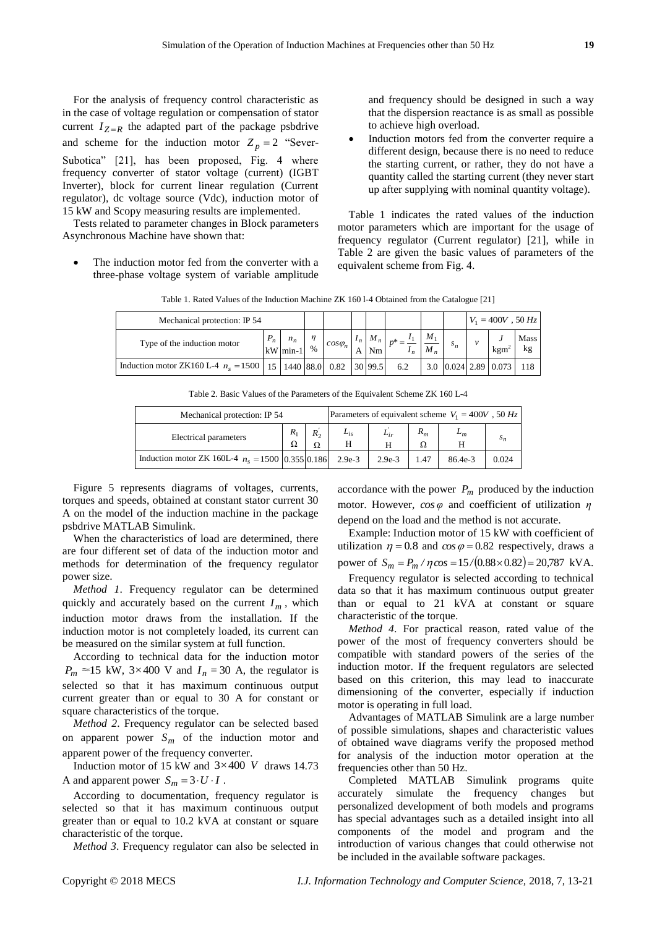For the analysis of frequency control characteristic as in the case of voltage regulation or compensation of stator current  $I_{Z=R}$  the adapted part of the package psbdrive and scheme for the induction motor  $Z_p = 2$  "Sever-Subotica" [21], has been proposed, Fig. 4 where frequency converter of stator voltage (current) (IGBT Inverter), block for current linear regulation (Current regulator), dc voltage source (Vdc), induction motor of 15 kW and Scopy measuring results are implemented.

Tests related to parameter changes in Block parameters Asynchronous Machine have shown that:

 The induction motor fed from the converter with a three-phase voltage system of variable amplitude and frequency should be designed in such a way that the dispersion reactance is as small as possible to achieve high overload.

 Induction motors fed from the converter require a different design, because there is no need to reduce the starting current, or rather, they do not have a quantity called the starting current (they never start up after supplying with nominal quantity voltage).

Table 1 indicates the rated values of the induction motor parameters which are important for the usage of frequency regulator (Current regulator) [21], while in Table 2 are given the basic values of parameters of the equivalent scheme from Fig. 4.

|  | Table 1. Rated Values of the Induction Machine ZK 160 1-4 Obtained from the Catalogue [21] |  |  |  |
|--|--------------------------------------------------------------------------------------------|--|--|--|
|--|--------------------------------------------------------------------------------------------|--|--|--|

| Mechanical protection: IP 54                                                 |              |            |      |                 |                   |           |  | $V_1 = 400V$ , 50 Hz |                                          |            |
|------------------------------------------------------------------------------|--------------|------------|------|-----------------|-------------------|-----------|--|----------------------|------------------------------------------|------------|
| Type of the induction motor                                                  | P<br>$n_{n}$ | $kW$ min-1 | $\%$ | $cos \varphi_n$ | $M_{\odot}$<br>Nm | $\cdot_n$ |  |                      | kgm                                      | Mass<br>kg |
| Induction motor ZK160 L-4 $n_s = 1500   15   1440   88.0   0.82   30   99.5$ |              |            |      |                 |                   | 6.2       |  |                      | 3.0 $\big  0.024 \big  2.89 \big  0.073$ |            |

|  | Table 2. Basic Values of the Parameters of the Equivalent Scheme ZK 160 L-4 |  |  |  |  |  |
|--|-----------------------------------------------------------------------------|--|--|--|--|--|
|--|-----------------------------------------------------------------------------|--|--|--|--|--|

| Mechanical protection: IP 54                       | Parameters of equivalent scheme $V_1 = 400V$ , 50 Hz |              |               |          |            |         |       |
|----------------------------------------------------|------------------------------------------------------|--------------|---------------|----------|------------|---------|-------|
| Electrical parameters                              | $R_{1}$<br>Ω                                         | $R_{2}$<br>Ω | $L_{is}$<br>Н | $L_{ir}$ | $R_m$<br>Ω | $L_m$   |       |
| Induction motor ZK 160L-4 $n_s = 1500$ 0.355 0.186 |                                                      |              | $2.9e-3$      | $2.9e-3$ | 1.47       | 86.4e-3 | 0.024 |

Figure 5 represents diagrams of voltages, currents, torques and speeds, obtained at constant stator current 30 A on the model of the induction machine in the package psbdrive MATLAB Simulink.

When the characteristics of load are determined, there are four different set of data of the induction motor and methods for determination of the frequency regulator power size.

*Method 1*. Frequency regulator can be determined quickly and accurately based on the current  $I_m$ , which induction motor draws from the installation. If the induction motor is not completely loaded, its current can be measured on the similar system at full function.

According to technical data for the induction motor  $P_m \approx 15$  kW,  $3 \times 400$  V and  $I_n = 30$  A, the regulator is selected so that it has maximum continuous output current greater than or equal to 30 A for constant or square characteristics of the torque.

*Method 2*. Frequency regulator can be selected based on apparent power  $S_m$  of the induction motor and apparent power of the frequency converter.

Induction motor of 15 kW and 3×400 *V* draws 14.73 A and apparent power  $S_m = 3 \cdot U \cdot I$ .

According to documentation, frequency regulator is selected so that it has maximum continuous output greater than or equal to 10.2 kVA at constant or square characteristic of the torque.

*Method 3*. Frequency regulator can also be selected in

accordance with the power  $P_m$  produced by the induction motor. However, *cos φ* and coefficient of utilization *η* depend on the load and the method is not accurate.

Example: Induction motor of 15 kW with coefficient of utilization  $\eta = 0.8$  and  $\cos \varphi = 0.82$  respectively, draws a power of  $S_m = P_m / \eta \cos \theta = 15 / (0.88 \times 0.82) = 20,787 \text{ kVA}.$ 

Frequency regulator is selected according to technical data so that it has maximum continuous output greater than or equal to 21 kVA at constant or square characteristic of the torque.

*Method 4*. For practical reason, rated value of the power of the most of frequency converters should be compatible with standard powers of the series of the induction motor. If the frequent regulators are selected based on this criterion, this may lead to inaccurate dimensioning of the converter, especially if induction motor is operating in full load.

Advantages of MATLAB Simulink are a large number of possible simulations, shapes and characteristic values of obtained wave diagrams verify the proposed method for analysis of the induction motor operation at the frequencies other than 50 Hz.

Completed MATLAB Simulink programs quite accurately simulate the frequency changes but personalized development of both models and programs has special advantages such as a detailed insight into all components of the model and program and the introduction of various changes that could otherwise not be included in the available software packages.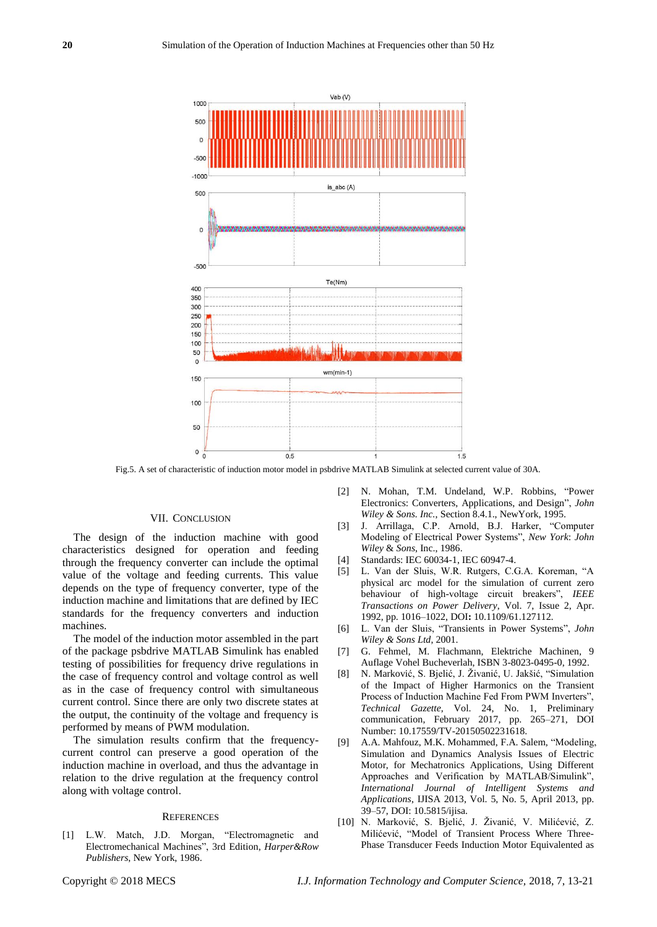

Fig.5. A set of characteristic of induction motor model in psbdrive MATLAB Simulink at selected current value of 30A.

#### VII. CONCLUSION

The design of the induction machine with good characteristics designed for operation and feeding through the frequency converter can include the optimal value of the voltage and feeding currents. This value depends on the type of frequency converter, type of the induction machine and limitations that are defined by IEC standards for the frequency converters and induction machines.

The model of the induction motor assembled in the part of the package psbdrive MATLAB Simulink has enabled testing of possibilities for frequency drive regulations in the case of frequency control and voltage control as well as in the case of frequency control with simultaneous current control. Since there are only two discrete states at the output, the continuity of the voltage and frequency is performed by means of PWM modulation.

The simulation results confirm that the frequencycurrent control can preserve a good operation of the induction machine in overload, and thus the advantage in relation to the drive regulation at the frequency control along with voltage control.

#### **REFERENCES**

[1] L.W. Match, J.D. Morgan, "Electromagnetic and Electromechanical Machines", [3rd Edition,](https://www.wiley.com/en-us/Electromagnetic+and+Electromechanical+Machines%2C+3rd+Edition-p-9780471603641) *Harper&Row Publishers*, New York, 1986.

- [2] N. Mohan, T.M. Undeland, W.P. Robbins, "Power Electronics: Converters, Applications, and Design", *John Wiley & Sons. Inc.*, Section 8.4.1., NewYork, 1995.
- [3] J. Arrillaga, C.P. Arnold, B.J. Harker, "Computer Modeling of Electrical Power Systems", *New York*: *John Wiley* & *Sons*, Inc., 1986.
- [4] Standards: IEC 60034-1, IEC 60947-4.
- [5] L. Van der Sluis, W.R. Rutgers, C.G.A. Koreman, "A physical arc model for the simulation of current zero behaviour of high-voltage circuit breakers", *IEEE Transactions on Power Delivery*, Vol. 7, [Issue 2,](http://ieeexplore.ieee.org/xpl/tocresult.jsp?isnumber=3557) Apr. 1992, pp. 1016–1022, DOI**:** 10.1109/61.127112.
- [6] L. Van der Sluis, "Transients in Power Systems", *John Wiley & Sons Ltd*, 2001.
- [7] G. Fehmel, M. Flachmann, Elektriche Machinen, 9 Auflage Vohel Bucheverlah, ISBN 3-8023-0495-0, 1992.
- [8] N. Marković, S. Bjelić, J. Živanić, U. Jakšić, "Simulation of the Impact of Higher Harmonics on the Transient Process of Induction Machine Fed From PWM Inverters", *Technical Gazette*, Vol. 24, No. 1, Preliminary communication, February 2017, pp. 265–271, DOI Number: 10.17559/TV-20150502231618.
- [9] A.A. Mahfouz, M.K. Mohammed, F.A. Salem, "Modeling, Simulation and Dynamics Analysis Issues of Electric Motor, for Mechatronics Applications, Using Different Approaches and Verification by MATLAB/Simulink", *International Journal of Intelligent Systems and Applications*, IJISA 2013, Vol. 5, No. 5, April 2013, pp. 39–57, DOI: 10.5815/ijisa.
- [10] N. Marković, S. Bjelić, J. Živanić, V. Milićević, Z. Milićević, "Model of Transient Process Where Three-Phase Transducer Feeds Induction Motor Equivalented as